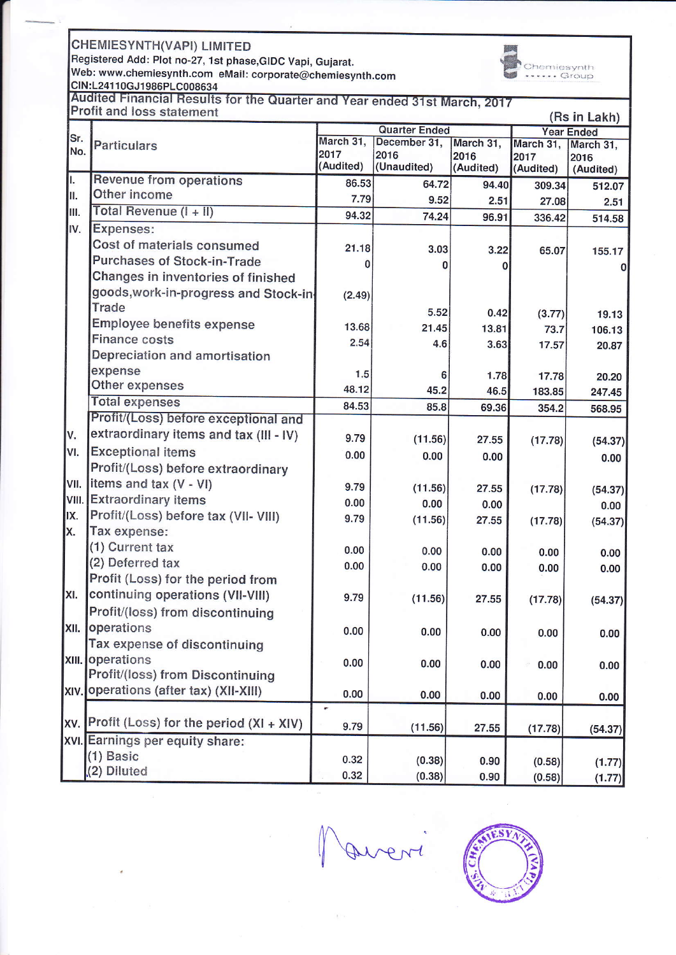**CHEMIESYNTH(VAPI) LIMITED** 

Registered Add: Plot no-27, 1st phase, GIDC Vapi, Gujarat.<br>Web: www.chemiesynth.com eMail: corporate@chemiesynth.com



CIN:L24110GJ1986PLC008634<br>CIN:L24110GJ1986PLC008634<br>Audited Financial Results for the Quarter and Year ended 31st March, 2017<br>Profit and loss statement

|       | TOIR QUALITY TO JUSTICITIONS<br>(Rs in Lakh) |                                   |                      |                   |                   |                   |  |  |
|-------|----------------------------------------------|-----------------------------------|----------------------|-------------------|-------------------|-------------------|--|--|
| Sr.   |                                              | <b>Quarter Ended</b><br>March 31, |                      |                   | <b>Year Ended</b> |                   |  |  |
| No.   | <b>Particulars</b>                           | 2017                              | December 31,<br>2016 | March 31,         | March 31,         | March 31,         |  |  |
|       |                                              | (Audited)                         | (Unaudited)          | 2016<br>(Audited) | 2017<br>(Audited) | 2016<br>(Audited) |  |  |
| II.   | <b>Revenue from operations</b>               | 86.53                             | 64.72                | 94.40             | 309.34            | 512.07            |  |  |
| II.   | Other income                                 | 7.79                              | 9.52                 | 2.51              | 27.08             | 2.51              |  |  |
| III.  | Total Revenue $(I + II)$                     | 94.32                             | 74.24                | 96.91             | 336.42            | 514.58            |  |  |
| IV.   | Expenses:                                    |                                   |                      |                   |                   |                   |  |  |
|       | Cost of materials consumed                   | 21.18                             | 3.03                 | 3.22              | 65.07             | 155.17            |  |  |
|       | <b>Purchases of Stock-in-Trade</b>           | 0                                 | O                    |                   |                   | $\mathbf{O}$      |  |  |
|       | Changes in inventories of finished           |                                   |                      |                   |                   |                   |  |  |
|       | goods, work-in-progress and Stock-in-        | (2.49)                            |                      |                   |                   |                   |  |  |
|       | <b>Trade</b>                                 |                                   | 5.52                 | 0.42              | (3.77)            | 19.13             |  |  |
|       | <b>Employee benefits expense</b>             | 13.68                             | 21.45                | 13.81             | 73.7              | 106.13            |  |  |
|       | <b>Finance costs</b>                         | 2.54                              | 4.6                  | 3.63              | 17.57             | 20.87             |  |  |
|       | Depreciation and amortisation                |                                   |                      |                   |                   |                   |  |  |
|       | expense                                      | 1.5                               | 6                    | 1.78              | 17.78             | 20.20             |  |  |
|       | Other expenses                               | 48.12                             | 45.2                 | 46.5              | 183.85            | 247.45            |  |  |
|       | <b>Total expenses</b>                        | 84.53                             | 85.8                 | 69.36             | 354.2             | 568.95            |  |  |
|       | Profit/(Loss) before exceptional and         |                                   |                      |                   |                   |                   |  |  |
| lv.   | extraordinary items and tax (III - IV)       | 9.79                              | (11.56)              | 27.55             | (17.78)           | (54.37)           |  |  |
| VI.   | <b>Exceptional items</b>                     | 0.00                              | 0.00                 | 0.00              |                   | 0.00              |  |  |
|       | Profit/(Loss) before extraordinary           |                                   |                      |                   |                   |                   |  |  |
| IVII. | items and tax (V - VI)                       | 9.79                              | (11.56)              | 27.55             | (17.78)           | (54.37)           |  |  |
|       | VIII. Extraordinary items                    | 0.00                              | 0.00                 | 0.00              |                   | 0.00              |  |  |
| IX.   | Profit/(Loss) before tax (VII- VIII)         | 9.79                              | (11.56)              | 27.55             | (17.78)           | (54.37)           |  |  |
| X.    | Tax expense:                                 |                                   |                      |                   |                   |                   |  |  |
|       | (1) Current tax                              | 0.00                              | 0.00                 | 0.00              | 0.00              | 0.00              |  |  |
|       | (2) Deferred tax                             | 0.00                              | 0.00                 | 0.00              | 0.00              | 0.00              |  |  |
|       | Profit (Loss) for the period from            |                                   |                      |                   |                   |                   |  |  |
| XI.   | continuing operations (VII-VIII)             | 9.79                              | (11.56)              | 27.55             | (17.78)           | (54.37)           |  |  |
|       | Profit/(loss) from discontinuing             |                                   |                      |                   |                   |                   |  |  |
|       | XII. operations                              | 0.00                              | 0.00                 | 0.00              | 0.00              | 0.00              |  |  |
|       | Tax expense of discontinuing                 |                                   |                      |                   |                   |                   |  |  |
|       | <b>XIII.</b> Operations                      | 0.00                              | 0.00                 | 0.00              | 0.00              | 0.00              |  |  |
|       | Profit/(loss) from Discontinuing             |                                   |                      |                   |                   |                   |  |  |
|       | XIV. Operations (after tax) (XII-XIII)       | 0.00                              | 0.00                 | 0.00              | 0.00              | 0.00              |  |  |
|       | Profit (Loss) for the period (XI + XIV)      | ٠                                 |                      |                   |                   |                   |  |  |
| XV.   |                                              | 9.79                              | (11.56)              | 27.55             | (17.78)           | (54.37)           |  |  |
|       | XVI. Earnings per equity share:              |                                   |                      |                   |                   |                   |  |  |
|       | $(1)$ Basic                                  | 0.32                              | (0.38)               | 0.90              | (0.58)            | (1.77)            |  |  |
|       | (2) Diluted                                  | 0.32                              | (0.38)               | 0.90              | (0.58)            | (1.77)            |  |  |

Avent

S١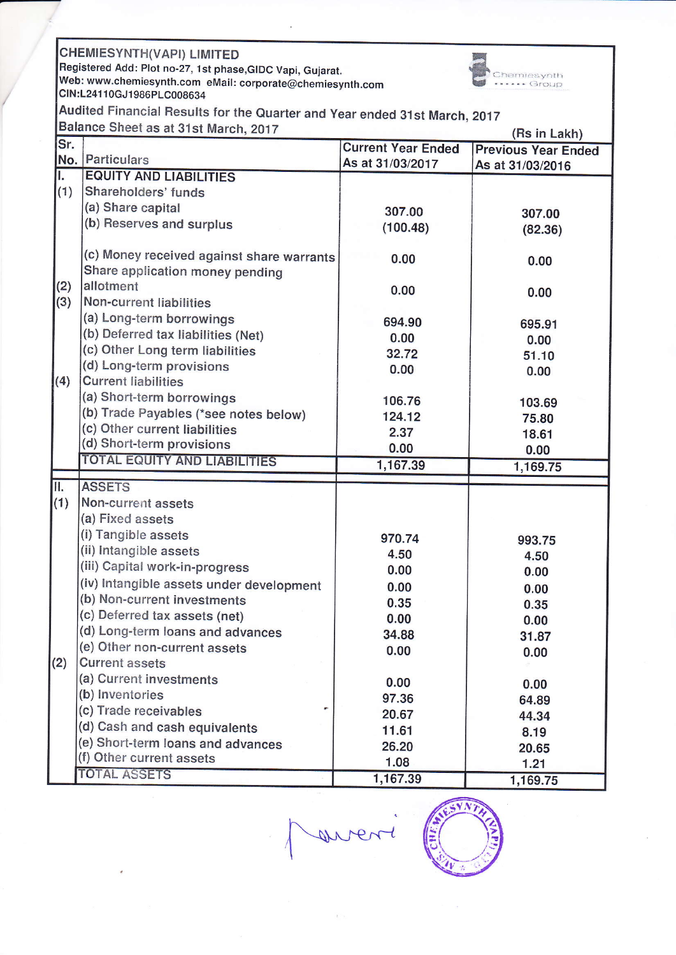|                                                                           | <b>CHEMIESYNTH(VAPI) LIMITED</b>                                                        |                           |                            |  |  |  |  |  |  |
|---------------------------------------------------------------------------|-----------------------------------------------------------------------------------------|---------------------------|----------------------------|--|--|--|--|--|--|
|                                                                           | Registered Add: Plot no-27, 1st phase, GIDC Vapi, Gujarat.                              |                           |                            |  |  |  |  |  |  |
|                                                                           | nemiesynth<br>Web: www.chemiesynth.com eMail: corporate@chemiesynth.com<br>$\sim$ Group |                           |                            |  |  |  |  |  |  |
| CIN:L24110GJ1986PLC008634                                                 |                                                                                         |                           |                            |  |  |  |  |  |  |
| Audited Financial Results for the Quarter and Year ended 31st March, 2017 |                                                                                         |                           |                            |  |  |  |  |  |  |
|                                                                           | Balance Sheet as at 31st March, 2017<br>(Rs in Lakh)                                    |                           |                            |  |  |  |  |  |  |
| Sr.                                                                       |                                                                                         | <b>Current Year Ended</b> | <b>Previous Year Ended</b> |  |  |  |  |  |  |
|                                                                           | No. Particulars                                                                         | As at 31/03/2017          | As at 31/03/2016           |  |  |  |  |  |  |
| Ι.                                                                        | <b>EQUITY AND LIABILITIES</b>                                                           |                           |                            |  |  |  |  |  |  |
| (1)                                                                       | Shareholders' funds                                                                     |                           |                            |  |  |  |  |  |  |
|                                                                           | (a) Share capital                                                                       | 307.00                    | 307.00                     |  |  |  |  |  |  |
|                                                                           | (b) Reserves and surplus                                                                | (100.48)                  | (82.36)                    |  |  |  |  |  |  |
|                                                                           |                                                                                         |                           |                            |  |  |  |  |  |  |
|                                                                           | (c) Money received against share warrants                                               | 0.00                      | 0.00                       |  |  |  |  |  |  |
|                                                                           | Share application money pending                                                         |                           |                            |  |  |  |  |  |  |
| (2)                                                                       | allotment                                                                               | 0.00                      | 0.00                       |  |  |  |  |  |  |
| (3)                                                                       | <b>Non-current liabilities</b>                                                          |                           |                            |  |  |  |  |  |  |
|                                                                           | (a) Long-term borrowings                                                                | 694.90                    | 695.91                     |  |  |  |  |  |  |
|                                                                           | (b) Deferred tax liabilities (Net)                                                      | 0.00                      | 0.00                       |  |  |  |  |  |  |
|                                                                           | (c) Other Long term liabilities                                                         | 32.72                     | 51.10                      |  |  |  |  |  |  |
|                                                                           | (d) Long-term provisions                                                                | 0.00                      | 0.00                       |  |  |  |  |  |  |
| (4)                                                                       | <b>Current liabilities</b>                                                              |                           |                            |  |  |  |  |  |  |
|                                                                           | (a) Short-term borrowings                                                               | 106.76                    | 103.69                     |  |  |  |  |  |  |
|                                                                           | (b) Trade Payables (*see notes below)                                                   | 124.12                    | 75.80                      |  |  |  |  |  |  |
|                                                                           | (c) Other current liabilities                                                           | 2.37                      | 18.61                      |  |  |  |  |  |  |
|                                                                           | (d) Short-term provisions                                                               | 0.00                      | 0.00                       |  |  |  |  |  |  |
|                                                                           | <b>TOTAL EQUITY AND LIABILITIES</b>                                                     | 1,167.39                  | 1,169.75                   |  |  |  |  |  |  |
| Π.                                                                        | <b>ASSETS</b>                                                                           |                           |                            |  |  |  |  |  |  |
| (1)                                                                       | Non-current assets                                                                      |                           |                            |  |  |  |  |  |  |
|                                                                           | (a) Fixed assets                                                                        |                           |                            |  |  |  |  |  |  |
|                                                                           | (i) Tangible assets                                                                     | 970.74                    |                            |  |  |  |  |  |  |
|                                                                           | (ii) Intangible assets                                                                  | 4.50                      | 993.75                     |  |  |  |  |  |  |
|                                                                           | (iii) Capital work-in-progress                                                          | 0.00                      | 4.50                       |  |  |  |  |  |  |
|                                                                           | (iv) Intangible assets under development                                                |                           | 0.00                       |  |  |  |  |  |  |
|                                                                           | (b) Non-current investments                                                             | 0.00<br>0.35              | 0.00                       |  |  |  |  |  |  |
|                                                                           | (c) Deferred tax assets (net)                                                           | 0.00                      | 0.35                       |  |  |  |  |  |  |
|                                                                           | (d) Long-term loans and advances                                                        | 34.88                     | 0.00                       |  |  |  |  |  |  |
|                                                                           | (e) Other non-current assets                                                            |                           | 31.87                      |  |  |  |  |  |  |
| (2)                                                                       | <b>Current assets</b>                                                                   | 0.00                      | 0.00                       |  |  |  |  |  |  |
|                                                                           | (a) Current investments                                                                 |                           |                            |  |  |  |  |  |  |
|                                                                           | (b) Inventories                                                                         | 0.00                      | 0.00                       |  |  |  |  |  |  |
|                                                                           | (c) Trade receivables                                                                   | 97.36                     | 64.89                      |  |  |  |  |  |  |
|                                                                           | (d) Cash and cash equivalents                                                           | 20.67                     | 44.34                      |  |  |  |  |  |  |
|                                                                           | (e) Short-term loans and advances                                                       | 11.61                     | 8.19                       |  |  |  |  |  |  |
|                                                                           | (f) Other current assets                                                                | 26.20                     | 20.65                      |  |  |  |  |  |  |
|                                                                           | <b>TOTAL ASSETS</b>                                                                     | 1.08                      | 1.21                       |  |  |  |  |  |  |
|                                                                           |                                                                                         | 1,167.39                  | 1,169.75                   |  |  |  |  |  |  |

went



**AAP**